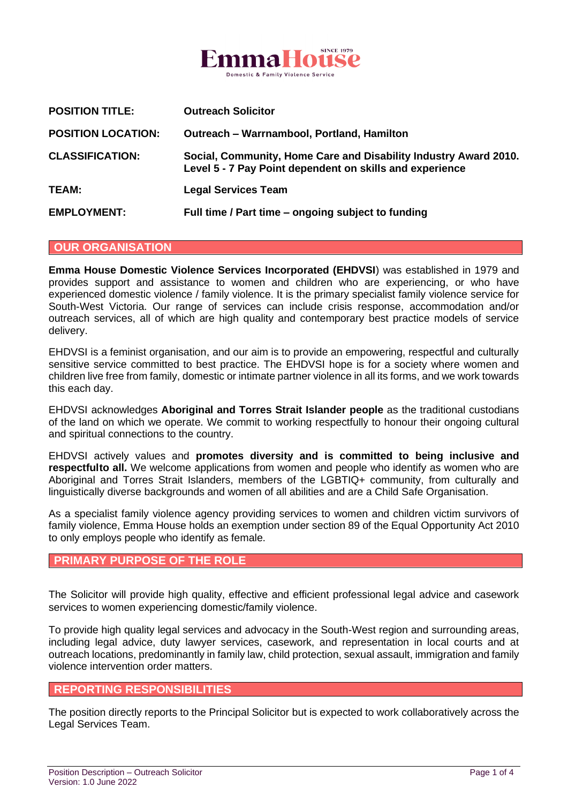

| <b>POSITION TITLE:</b>    | <b>Outreach Solicitor</b>                                                                                                    |
|---------------------------|------------------------------------------------------------------------------------------------------------------------------|
| <b>POSITION LOCATION:</b> | Outreach - Warrnambool, Portland, Hamilton                                                                                   |
| <b>CLASSIFICATION:</b>    | Social, Community, Home Care and Disability Industry Award 2010.<br>Level 5 - 7 Pay Point dependent on skills and experience |
| <b>TEAM:</b>              | <b>Legal Services Team</b>                                                                                                   |
| <b>EMPLOYMENT:</b>        | Full time / Part time - ongoing subject to funding                                                                           |

### **OUR ORGANISATION**

**Emma House Domestic Violence Services Incorporated (EHDVSI**) was established in 1979 and provides support and assistance to women and children who are experiencing, or who have experienced domestic violence / family violence. It is the primary specialist family violence service for South-West Victoria. Our range of services can include crisis response, accommodation and/or outreach services, all of which are high quality and contemporary best practice models of service delivery.

EHDVSI is a feminist organisation, and our aim is to provide an empowering, respectful and culturally sensitive service committed to best practice. The EHDVSI hope is for a society where women and children live free from family, domestic or intimate partner violence in all its forms, and we work towards this each day.

EHDVSI acknowledges **Aboriginal and Torres Strait Islander people** as the traditional custodians of the land on which we operate. We commit to working respectfully to honour their ongoing cultural and spiritual connections to the country.

EHDVSI actively values and **promotes diversity and is committed to being inclusive and respectfulto all.** We welcome applications from women and people who identify as women who are Aboriginal and Torres Strait Islanders, members of the LGBTIQ+ community, from culturally and linguistically diverse backgrounds and women of all abilities and are a Child Safe Organisation.

As a specialist family violence agency providing services to women and children victim survivors of family violence, Emma House holds an exemption under section 89 of the Equal Opportunity Act 2010 to only employs people who identify as female.

### **PRIMARY PURPOSE OF THE ROLE**

The Solicitor will provide high quality, effective and efficient professional legal advice and casework services to women experiencing domestic/family violence.

To provide high quality legal services and advocacy in the South-West region and surrounding areas, including legal advice, duty lawyer services, casework, and representation in local courts and at outreach locations, predominantly in family law, child protection, sexual assault, immigration and family violence intervention order matters.

#### **REPORTING RESPONSIBILITIES**

The position directly reports to the Principal Solicitor but is expected to work collaboratively across the Legal Services Team.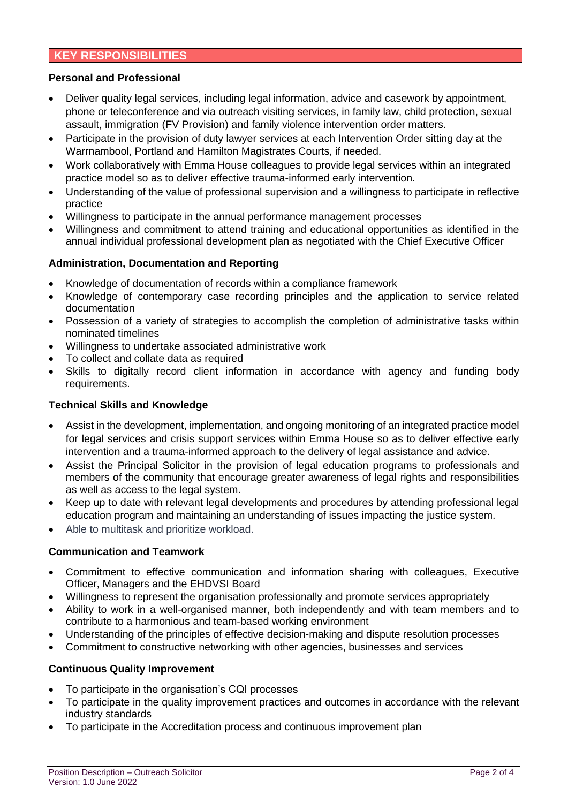### **KEY RESPONSIBILITIES**

### **Personal and Professional**

- Deliver quality legal services, including legal information, advice and casework by appointment, phone or teleconference and via outreach visiting services, in family law, child protection, sexual assault, immigration (FV Provision) and family violence intervention order matters.
- Participate in the provision of duty lawyer services at each Intervention Order sitting day at the Warrnambool, Portland and Hamilton Magistrates Courts, if needed.
- Work collaboratively with Emma House colleagues to provide legal services within an integrated practice model so as to deliver effective trauma-informed early intervention.
- Understanding of the value of professional supervision and a willingness to participate in reflective practice
- Willingness to participate in the annual performance management processes
- Willingness and commitment to attend training and educational opportunities as identified in the annual individual professional development plan as negotiated with the Chief Executive Officer

### **Administration, Documentation and Reporting**

- Knowledge of documentation of records within a compliance framework
- Knowledge of contemporary case recording principles and the application to service related documentation
- Possession of a variety of strategies to accomplish the completion of administrative tasks within nominated timelines
- Willingness to undertake associated administrative work
- To collect and collate data as required
- Skills to digitally record client information in accordance with agency and funding body requirements.

### **Technical Skills and Knowledge**

- Assist in the development, implementation, and ongoing monitoring of an integrated practice model for legal services and crisis support services within Emma House so as to deliver effective early intervention and a trauma-informed approach to the delivery of legal assistance and advice.
- Assist the Principal Solicitor in the provision of legal education programs to professionals and members of the community that encourage greater awareness of legal rights and responsibilities as well as access to the legal system.
- Keep up to date with relevant legal developments and procedures by attending professional legal education program and maintaining an understanding of issues impacting the justice system.
- Able to multitask and prioritize workload.

### **Communication and Teamwork**

- Commitment to effective communication and information sharing with colleagues, Executive Officer, Managers and the EHDVSI Board
- Willingness to represent the organisation professionally and promote services appropriately
- Ability to work in a well-organised manner, both independently and with team members and to contribute to a harmonious and team-based working environment
- Understanding of the principles of effective decision-making and dispute resolution processes
- Commitment to constructive networking with other agencies, businesses and services

### **Continuous Quality Improvement**

- To participate in the organisation's CQI processes
- To participate in the quality improvement practices and outcomes in accordance with the relevant industry standards
- To participate in the Accreditation process and continuous improvement plan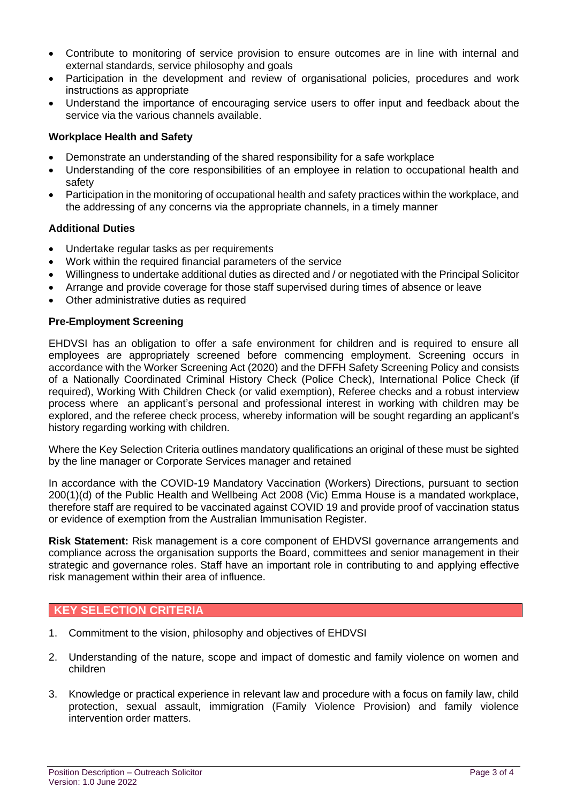- Contribute to monitoring of service provision to ensure outcomes are in line with internal and external standards, service philosophy and goals
- Participation in the development and review of organisational policies, procedures and work instructions as appropriate
- Understand the importance of encouraging service users to offer input and feedback about the service via the various channels available.

## **Workplace Health and Safety**

- Demonstrate an understanding of the shared responsibility for a safe workplace
- Understanding of the core responsibilities of an employee in relation to occupational health and safety
- Participation in the monitoring of occupational health and safety practices within the workplace, and the addressing of any concerns via the appropriate channels, in a timely manner

## **Additional Duties**

- Undertake regular tasks as per requirements
- Work within the required financial parameters of the service
- Willingness to undertake additional duties as directed and / or negotiated with the Principal Solicitor
- Arrange and provide coverage for those staff supervised during times of absence or leave
- Other administrative duties as required

### **Pre-Employment Screening**

EHDVSI has an obligation to offer a safe environment for children and is required to ensure all employees are appropriately screened before commencing employment. Screening occurs in accordance with the Worker Screening Act (2020) and the DFFH Safety Screening Policy and consists of a Nationally Coordinated Criminal History Check (Police Check), International Police Check (if required), Working With Children Check (or valid exemption), Referee checks and a robust interview process where an applicant's personal and professional interest in working with children may be explored, and the referee check process, whereby information will be sought regarding an applicant's history regarding working with children.

Where the Key Selection Criteria outlines mandatory qualifications an original of these must be sighted by the line manager or Corporate Services manager and retained

In accordance with the COVID-19 Mandatory Vaccination (Workers) Directions, pursuant to section 200(1)(d) of the Public Health and Wellbeing Act 2008 (Vic) Emma House is a mandated workplace, therefore staff are required to be vaccinated against COVID 19 and provide proof of vaccination status or evidence of exemption from the Australian Immunisation Register.

**Risk Statement:** Risk management is a core component of EHDVSI governance arrangements and compliance across the organisation supports the Board, committees and senior management in their strategic and governance roles. Staff have an important role in contributing to and applying effective risk management within their area of influence.

## **KEY SELECTION CRITERIA**

- 1. Commitment to the vision, philosophy and objectives of EHDVSI
- 2. Understanding of the nature, scope and impact of domestic and family violence on women and children
- 3. Knowledge or practical experience in relevant law and procedure with a focus on family law, child protection, sexual assault, immigration (Family Violence Provision) and family violence intervention order matters.